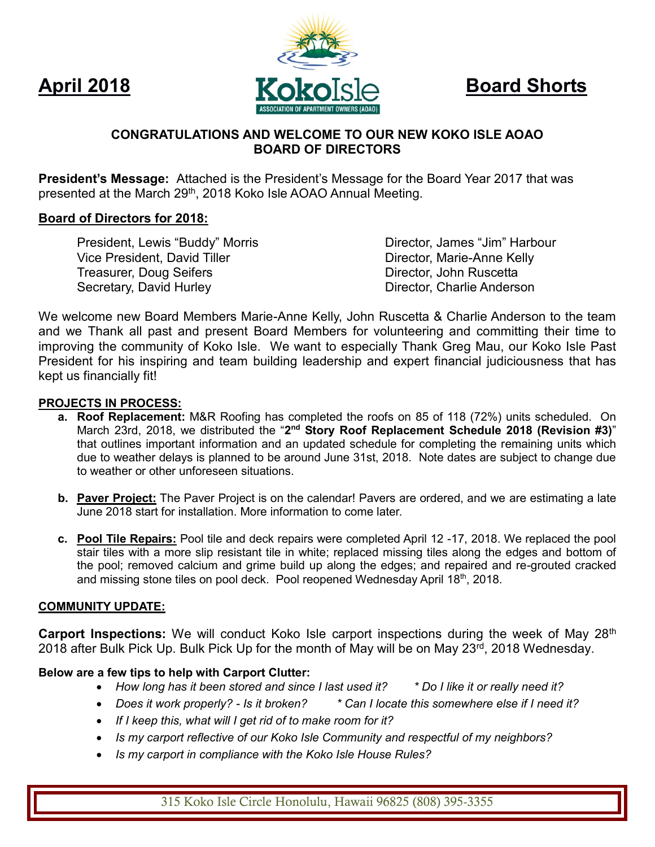

# **CONGRATULATIONS AND WELCOME TO OUR NEW KOKO ISLE AOAO BOARD OF DIRECTORS**

**President's Message:** Attached is the President's Message for the Board Year 2017 that was presented at the March 29<sup>th</sup>, 2018 Koko Isle AOAO Annual Meeting.

## **Board of Directors for 2018:**

President, Lewis "Buddy" Morris **Director, James "Jim" Harbour** Vice President, David Tiller **Director, Marie-Anne Kelly** Treasurer, Doug Seifers **Director, School Seifers** Director, John Ruscetta Secretary, David Hurley **Director, Charlie Anderson** 

We welcome new Board Members Marie-Anne Kelly, John Ruscetta & Charlie Anderson to the team and we Thank all past and present Board Members for volunteering and committing their time to improving the community of Koko Isle. We want to especially Thank Greg Mau, our Koko Isle Past President for his inspiring and team building leadership and expert financial judiciousness that has kept us financially fit!

#### **PROJECTS IN PROCESS:**

- **a. Roof Replacement:** M&R Roofing has completed the roofs on 85 of 118 (72%) units scheduled. On March 23rd, 2018, we distributed the "2<sup>nd</sup> Story Roof Replacement Schedule 2018 (Revision #3)" that outlines important information and an updated schedule for completing the remaining units which due to weather delays is planned to be around June 31st, 2018. Note dates are subject to change due to weather or other unforeseen situations.
- **b. Paver Project:** The Paver Project is on the calendar! Pavers are ordered, and we are estimating a late June 2018 start for installation. More information to come later.
- **c. Pool Tile Repairs:** Pool tile and deck repairs were completed April 12 -17, 2018. We replaced the pool stair tiles with a more slip resistant tile in white; replaced missing tiles along the edges and bottom of the pool; removed calcium and grime build up along the edges; and repaired and re-grouted cracked and missing stone tiles on pool deck. Pool reopened Wednesday April  $18<sup>th</sup>$ , 2018.

## **COMMUNITY UPDATE:**

**Carport Inspections:** We will conduct Koko Isle carport inspections during the week of May 28<sup>th</sup> 2018 after Bulk Pick Up. Bulk Pick Up for the month of May will be on May 23<sup>rd</sup>, 2018 Wednesday.

## **Below are a few tips to help with Carport Clutter:**

- *How long has it been stored and since I last used it? \* Do I like it or really need it?*
- *Does it work properly? - Is it broken? \* Can I locate this somewhere else if I need it?*
- *If I keep this, what will I get rid of to make room for it?*
- *Is my carport reflective of our Koko Isle Community and respectful of my neighbors?*
- *Is my carport in compliance with the Koko Isle House Rules?*

315 Koko Isle Circle Honolulu, Hawaii 96825 (808) 395-3355